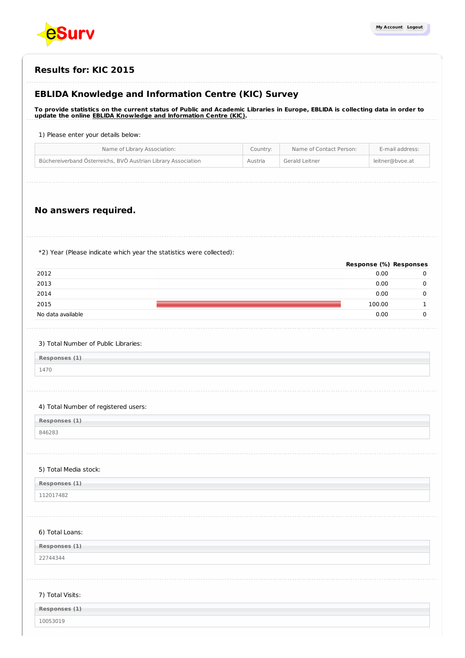

| <b>Results for: KIC 2015</b> |  |
|------------------------------|--|
|------------------------------|--|

# **EBLIDA Knowledge and Information Centre (KIC) Survey**

To provide statistics on the current status of Public and Academic Libraries in Europe, EBLIDA is collecting data in order to **update the online EBLIDA Knowledge and [Information](http://www.eblida.org/activities/kic/) Centre (KIC).**

## 1) Please enter your details below:

| Büchereiverband Österreichs, BVÖ Austrian Library Association<br>Gerald Leitner<br>Austria<br>leitner@bvoe.at | Name of Library Association: | Country: | Name of Contact Person: | E-mail address: |
|---------------------------------------------------------------------------------------------------------------|------------------------------|----------|-------------------------|-----------------|
|                                                                                                               |                              |          |                         |                 |

# **No answers required.**

\*2) Year (Please indicate which year the statistics were collected):

|                   | Response (%) Responses |  |
|-------------------|------------------------|--|
| 2012              | 0.00                   |  |
| 2013              | 0.00                   |  |
| 2014              | 0.00                   |  |
| 2015              | 100.00                 |  |
| No data available | 0.00                   |  |

### 3) Total Number of Public Libraries:

**Responses (1)** 1470

### 4) Total Number of registered users:

**Responses (1)**

846283

#### 5) Total Media stock:

| Responses (1)                                                                             |  |
|-------------------------------------------------------------------------------------------|--|
| 201748<br>the contract of the contract of the contract of the contract of the contract of |  |

#### 6) Total Loans:

**Responses (1)**

22744344

## 7) Total Visits:

| Responses (1) |  |
|---------------|--|
| 10053019      |  |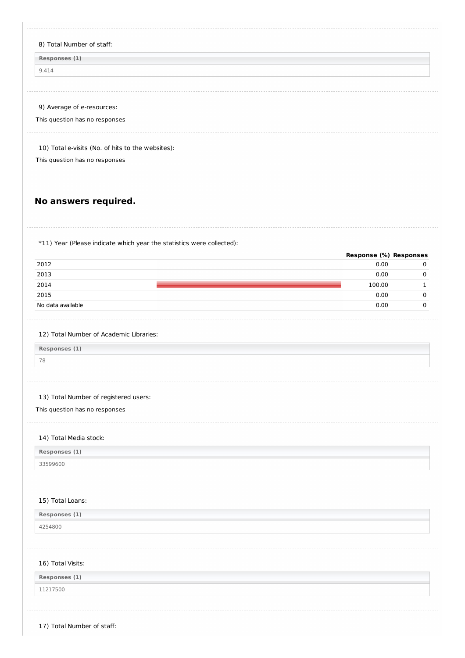| 8) Total Number of staff:                                                                                                                                                                                                                                                     |                        |                  |
|-------------------------------------------------------------------------------------------------------------------------------------------------------------------------------------------------------------------------------------------------------------------------------|------------------------|------------------|
| Responses (1)                                                                                                                                                                                                                                                                 |                        |                  |
| 9.414                                                                                                                                                                                                                                                                         |                        |                  |
| 9) Average of e-resources:                                                                                                                                                                                                                                                    |                        |                  |
| This question has no responses                                                                                                                                                                                                                                                |                        |                  |
| 10) Total e-visits (No. of hits to the websites):                                                                                                                                                                                                                             |                        |                  |
| This question has no responses                                                                                                                                                                                                                                                |                        |                  |
| No answers required.                                                                                                                                                                                                                                                          |                        |                  |
| *11) Year (Please indicate which year the statistics were collected):                                                                                                                                                                                                         | Response (%) Responses |                  |
| 2012                                                                                                                                                                                                                                                                          | 0.00                   | $\mathbf 0$      |
| 2013                                                                                                                                                                                                                                                                          | 0.00                   | 0                |
| 2014                                                                                                                                                                                                                                                                          | 100.00                 | 1                |
|                                                                                                                                                                                                                                                                               |                        |                  |
|                                                                                                                                                                                                                                                                               | 0.00<br>0.00           | 0<br>$\mathbf 0$ |
|                                                                                                                                                                                                                                                                               |                        |                  |
|                                                                                                                                                                                                                                                                               |                        |                  |
|                                                                                                                                                                                                                                                                               |                        |                  |
|                                                                                                                                                                                                                                                                               |                        |                  |
|                                                                                                                                                                                                                                                                               |                        |                  |
|                                                                                                                                                                                                                                                                               |                        |                  |
|                                                                                                                                                                                                                                                                               |                        |                  |
| 2015<br>No data available<br>12) Total Number of Academic Libraries:<br>Responses (1)<br>78<br>13) Total Number of registered users:<br>This question has no responses<br>14) Total Media stock:<br>Responses (1)<br>33599600<br>15) Total Loans:<br>Responses (1)<br>4254800 |                        |                  |
|                                                                                                                                                                                                                                                                               |                        |                  |
| 16) Total Visits:<br>Responses (1)                                                                                                                                                                                                                                            |                        |                  |